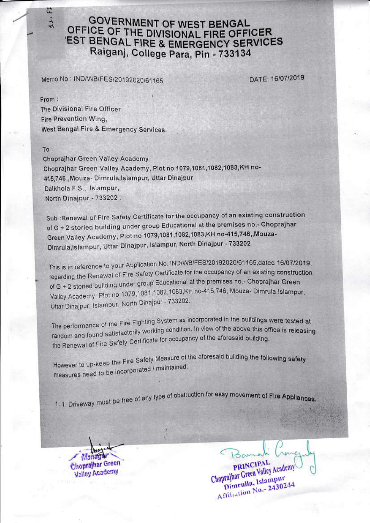## **GOVERNMENT OF WEST BENGAL** OFFICE OF THE DIVISIONAL FIRE OFFICER **EST BENGAL FIRE & EMERGENCY SERVICES** Raiganj, College Para, Pin - 733134

Memo No: IND/WB/FES/20192020/61165

DATE: 16/07/2019

From: The Divisional Fire Officer Fire Prevention Wing, West Bengal Fire & Emergency Services.

## To:

 $\mathbb{Z}$  $11.$ 

Choprajhar Green Valley Academy Chopraihar Green Valley Academy, Plot no 1079,1081,1082,1083,KH no-415,746,, Mouza- Dimrula, Islampur, Uttar Dinajpur Dalkhola F.S., Islampur, North Dinajpur - 733202.

Sub :Renewal of Fire Safety Certificate for the occupancy of an existing construction of G + 2 storied building under group Educational at the premises no.- Choprajhar Green Valley Academy, Plot no 1079,1081,1082,1083,KH no-415,746,,Mouza-Dimrula, Islampur, Uttar Dinajpur, Islampur, North Dinajpur - 733202

This is in reference to your Application No. IND/WB/FES/20192020/61165,dated 16/07/2019, regarding the Renewal of Fire Safety Certificate for the occupancy of an existing construction of G + 2 storied building under group Educational at the premises no.- Choprajhar Green Valley Academy, Plot no 1079,1081,1082,1083,KH no-415,746, Mouza-Dimrula,Islampur, Uttar Dinajpur, Islampur, North Dinajpur - 733202.

The performance of the Fire Fighting System as incorporated in the buildings were tested at random and found satisfactorily working condition. In view of the above this office is releasing the Renewal of Fire Safety Certificate for occupancy of the aforesaid building.

However to up-keep the Fire Safety Measure of the aforesaid building the following safety measures need to be incorporated / maintained.

1.1. Driveway must be free of any type of obstruction for easy movement of Fire Appliances.

Choprajhar Green **Valley Academy** 

PRINCIPAL Choprajhar Green Valley Academy Dimrulla, Islampur Affiliation No. 2430244